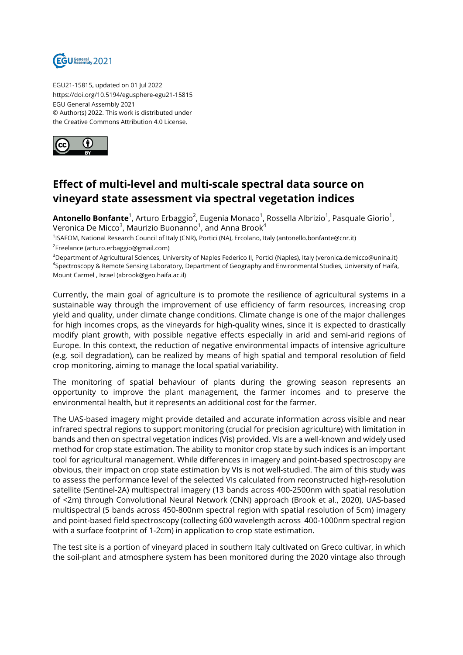

EGU21-15815, updated on 01 Jul 2022 https://doi.org/10.5194/egusphere-egu21-15815 EGU General Assembly 2021 © Author(s) 2022. This work is distributed under the Creative Commons Attribution 4.0 License.



## **Effect of multi-level and multi-scale spectral data source on vineyard state assessment via spectral vegetation indices**

**Antonello Bonfante**<sup>1</sup>, Arturo Erbaggio<sup>2</sup>, Eugenia Monaco<sup>1</sup>, Rossella Albrizio<sup>1</sup>, Pasquale Giorio<sup>1</sup>, Veronica De Micco $^3$ , Maurizio Buonanno $^1$ , and Anna Brook $^4$ 

1 ISAFOM, National Research Council of Italy (CNR), Portici (NA), Ercolano, Italy (antonello.bonfante@cnr.it) <sup>2</sup>Freelance (arturo.erbaggio@gmail.com)

<sup>3</sup>Department of Agricultural Sciences, University of Naples Federico II, Portici (Naples), Italy (veronica.demicco@unina.it) 4 Spectroscopy & Remote Sensing Laboratory, Department of Geography and Environmental Studies, University of Haifa, Mount Carmel , Israel (abrook@geo.haifa.ac.il)

Currently, the main goal of agriculture is to promote the resilience of agricultural systems in a sustainable way through the improvement of use efficiency of farm resources, increasing crop yield and quality, under climate change conditions. Climate change is one of the major challenges for high incomes crops, as the vineyards for high-quality wines, since it is expected to drastically modify plant growth, with possible negative effects especially in arid and semi-arid regions of Europe. In this context, the reduction of negative environmental impacts of intensive agriculture (e.g. soil degradation), can be realized by means of high spatial and temporal resolution of field crop monitoring, aiming to manage the local spatial variability.

The monitoring of spatial behaviour of plants during the growing season represents an opportunity to improve the plant management, the farmer incomes and to preserve the environmental health, but it represents an additional cost for the farmer.

The UAS-based imagery might provide detailed and accurate information across visible and near infrared spectral regions to support monitoring (crucial for precision agriculture) with limitation in bands and then on spectral vegetation indices (Vis) provided. VIs are a well-known and widely used method for crop state estimation. The ability to monitor crop state by such indices is an important tool for agricultural management. While differences in imagery and point-based spectroscopy are obvious, their impact on crop state estimation by VIs is not well-studied. The aim of this study was to assess the performance level of the selected VIs calculated from reconstructed high-resolution satellite (Sentinel-2A) multispectral imagery (13 bands across 400-2500nm with spatial resolution of <2m) through Convolutional Neural Network (CNN) approach (Brook et al., 2020), UAS-based multispectral (5 bands across 450-800nm spectral region with spatial resolution of 5cm) imagery and point-based field spectroscopy (collecting 600 wavelength across 400-1000nm spectral region with a surface footprint of 1-2cm) in application to crop state estimation.

The test site is a portion of vineyard placed in southern Italy cultivated on Greco cultivar, in which the soil-plant and atmosphere system has been monitored during the 2020 vintage also through